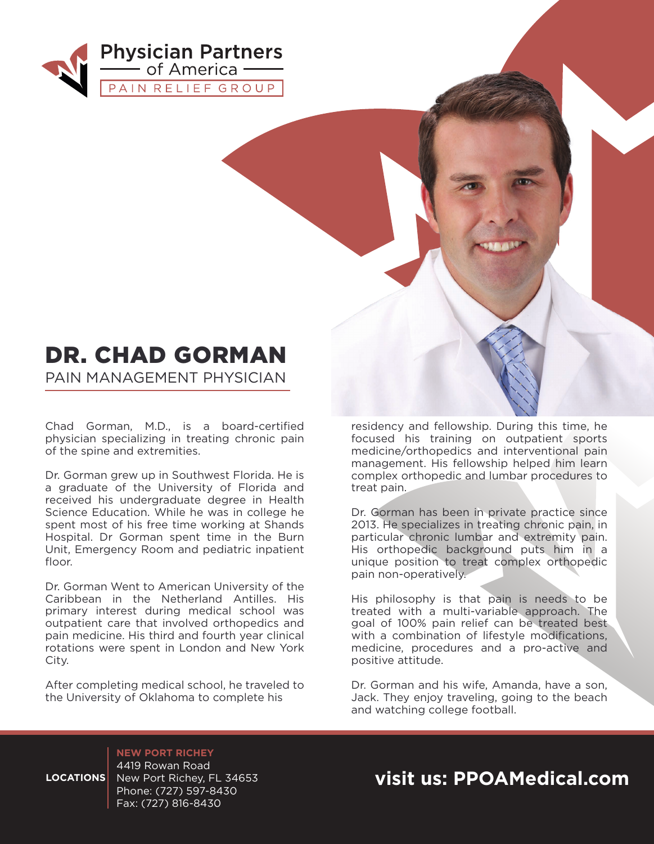

## DR. CHAD GORMAN PAIN MANAGEMENT PHYSICIAN

Chad Gorman, M.D., is a board-certified physician specializing in treating chronic pain of the spine and extremities.

Dr. Gorman grew up in Southwest Florida. He is a graduate of the University of Florida and received his undergraduate degree in Health Science Education. While he was in college he spent most of his free time working at Shands Hospital. Dr Gorman spent time in the Burn Unit, Emergency Room and pediatric inpatient floor.

Dr. Gorman Went to American University of the Caribbean in the Netherland Antilles. His primary interest during medical school was outpatient care that involved orthopedics and pain medicine. His third and fourth year clinical rotations were spent in London and New York City.

After completing medical school, he traveled to the University of Oklahoma to complete his

residency and fellowship. During this time, he focused his training on outpatient sports medicine/orthopedics and interventional pain management. His fellowship helped him learn complex orthopedic and lumbar procedures to treat pain.

Dr. Gorman has been in private practice since 2013. He specializes in treating chronic pain, in particular chronic lumbar and extremity pain. His orthopedic background puts him in a unique position to treat complex orthopedic pain non-operatively.

His philosophy is that pain is needs to be treated with a multi-variable approach. The goal of 100% pain relief can be treated best with a combination of lifestyle modifications. medicine, procedures and a pro-active and positive attitude.

Dr. Gorman and his wife, Amanda, have a son, Jack. They enjoy traveling, going to the beach and watching college football.

#### **NEW PORT RICHEY**

4419 Rowan Road New Port Richey, FL 34653 Phone: (727) 597-8430 Fax: (727) 816-8430

**LOCATIONS visit us: PPOAMedical.com**